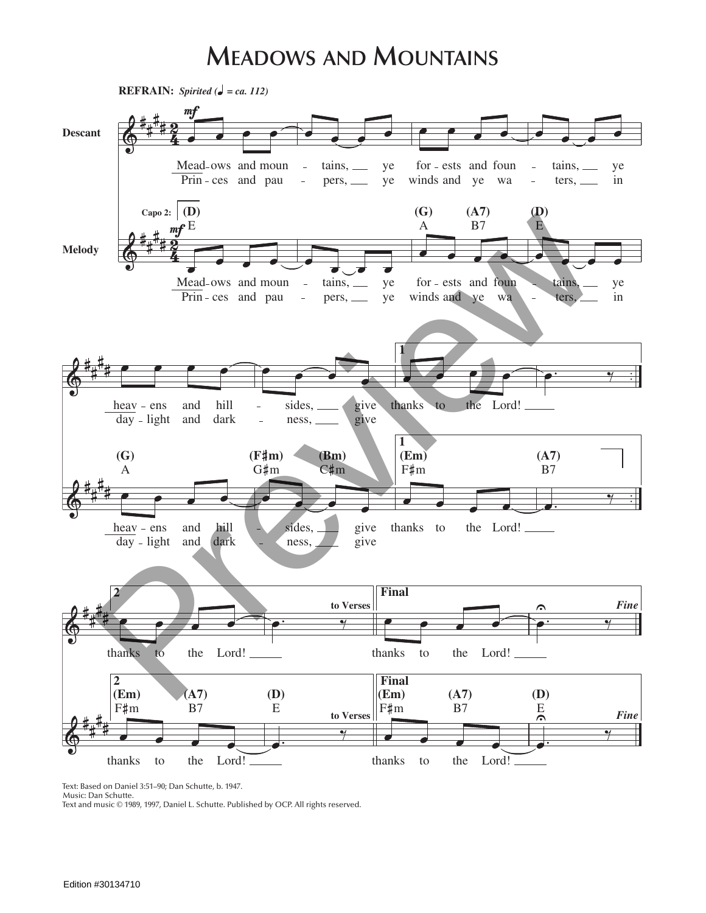## **Meadows and Mountains**



Text: Based on Daniel 3:51–90; Dan Schutte, b. 1947.

Music: Dan Schutte.

Text and music © 1989, 1997, Daniel L. Schutte. Published by OCP. All rights reserved.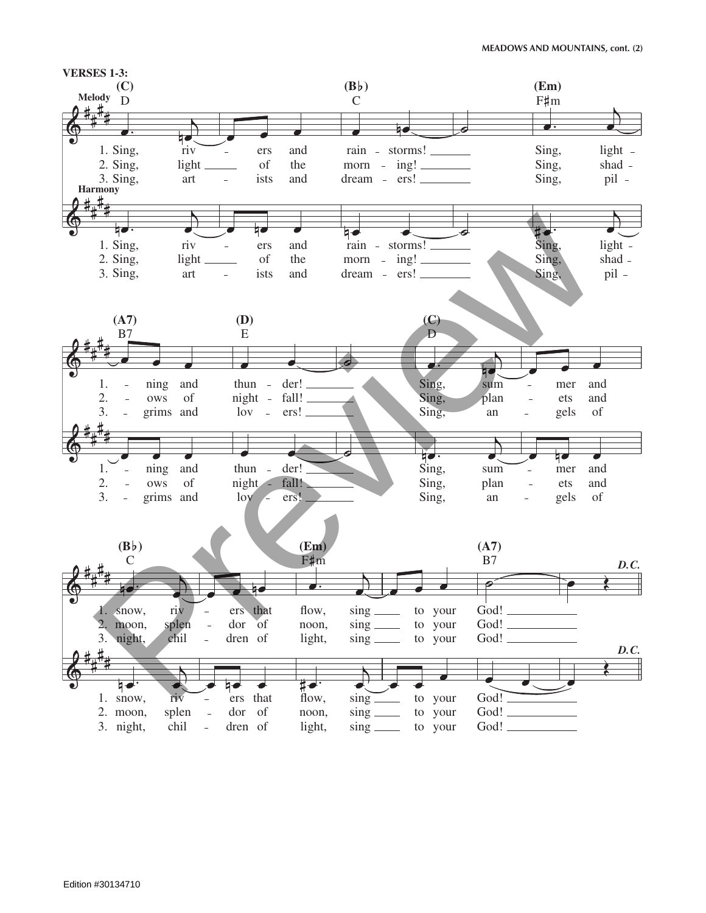